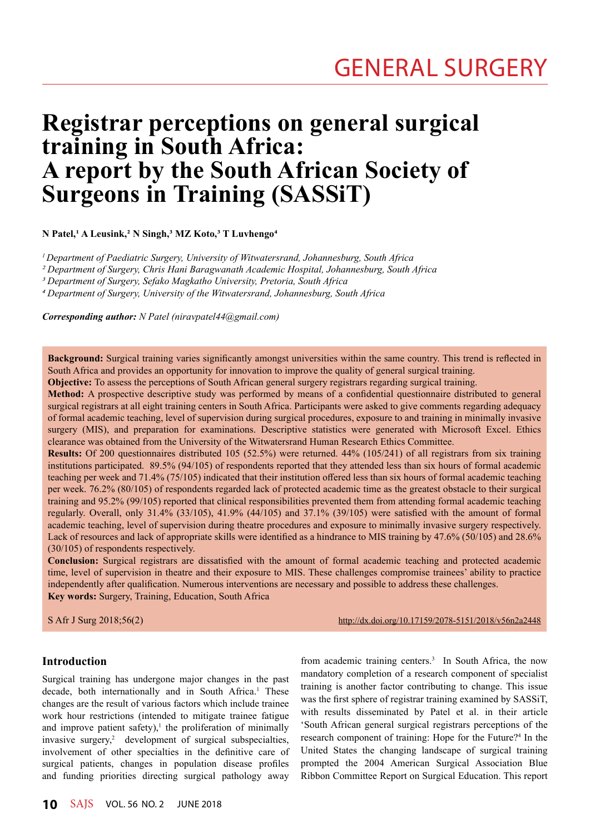# **Registrar perceptions on general surgical training in South Africa: A report by the South African Society of Surgeons in Training (SASSiT)**

**N Patel,1 A Leusink,2 N Singh,3 MZ Koto,3 T Luvhengo4**

*1 Department of Paediatric Surgery, University of Witwatersrand, Johannesburg, South Africa*

*2 Department of Surgery, Chris Hani Baragwanath Academic Hospital, Johannesburg, South Africa* 

*3 Department of Surgery, Sefako Magkatho University, Pretoria, South Africa* 

*4 Department of Surgery, University of the Witwatersrand, Johannesburg, South Africa*

*Corresponding author: N Patel (niravpatel44@gmail.com)*

**Background:** Surgical training varies significantly amongst universities within the same country. This trend is reflected in South Africa and provides an opportunity for innovation to improve the quality of general surgical training.

**Objective:** To assess the perceptions of South African general surgery registrars regarding surgical training.

**Method:** A prospective descriptive study was performed by means of a confidential questionnaire distributed to general surgical registrars at all eight training centers in South Africa. Participants were asked to give comments regarding adequacy of formal academic teaching, level of supervision during surgical procedures, exposure to and training in minimally invasive surgery (MIS), and preparation for examinations. Descriptive statistics were generated with Microsoft Excel. Ethics clearance was obtained from the University of the Witwatersrand Human Research Ethics Committee.

**Results:** Of 200 questionnaires distributed 105 (52.5%) were returned. 44% (105/241) of all registrars from six training institutions participated. 89.5% (94/105) of respondents reported that they attended less than six hours of formal academic teaching per week and 71.4% (75/105) indicated that their institution offered less than six hours of formal academic teaching per week. 76.2% (80/105) of respondents regarded lack of protected academic time as the greatest obstacle to their surgical training and 95.2% (99/105) reported that clinical responsibilities prevented them from attending formal academic teaching regularly. Overall, only 31.4% (33/105), 41.9% (44/105) and 37.1% (39/105) were satisfied with the amount of formal academic teaching, level of supervision during theatre procedures and exposure to minimally invasive surgery respectively. Lack of resources and lack of appropriate skills were identified as a hindrance to MIS training by 47.6% (50/105) and 28.6% (30/105) of respondents respectively.

**Conclusion:** Surgical registrars are dissatisfied with the amount of formal academic teaching and protected academic time, level of supervision in theatre and their exposure to MIS. These challenges compromise trainees' ability to practice independently after qualification. Numerous interventions are necessary and possible to address these challenges. **Key words:** Surgery, Training, Education, South Africa

S Afr J Surg 2018;56(2) http://dx.doi.org/10.17159/2078-5151/2018/v56n2a2448

# **Introduction**

Surgical training has undergone major changes in the past decade, both internationally and in South Africa.<sup>1</sup> These changes are the result of various factors which include trainee work hour restrictions (intended to mitigate trainee fatigue and improve patient safety), $\frac{1}{1}$  the proliferation of minimally invasive surgery,<sup>2</sup> development of surgical subspecialties, involvement of other specialties in the definitive care of surgical patients, changes in population disease profiles and funding priorities directing surgical pathology away

from academic training centers.<sup>3</sup> In South Africa, the now mandatory completion of a research component of specialist training is another factor contributing to change. This issue was the first sphere of registrar training examined by SASSiT, with results disseminated by Patel et al. in their article 'South African general surgical registrars perceptions of the research component of training: Hope for the Future?<sup>4</sup> In the United States the changing landscape of surgical training prompted the 2004 American Surgical Association Blue Ribbon Committee Report on Surgical Education. This report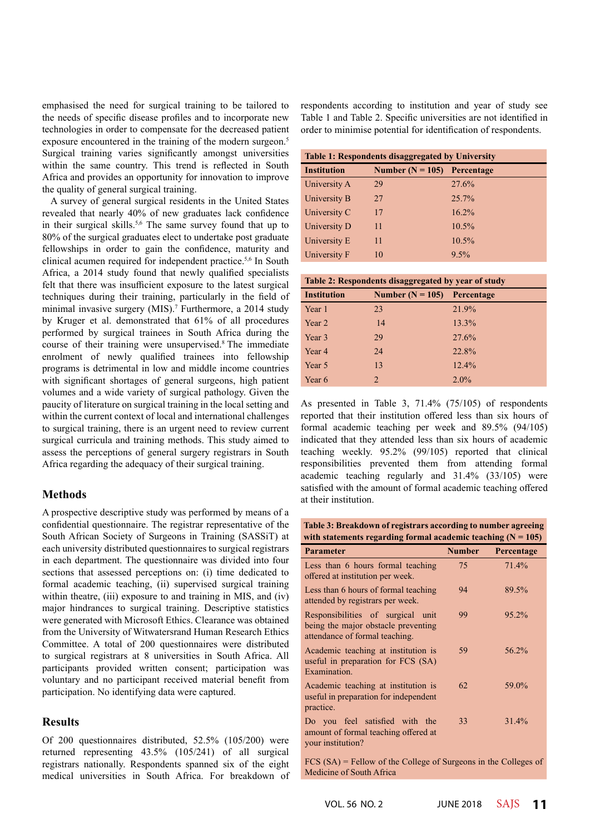emphasised the need for surgical training to be tailored to the needs of specific disease profiles and to incorporate new technologies in order to compensate for the decreased patient exposure encountered in the training of the modern surgeon.<sup>5</sup> Surgical training varies significantly amongst universities within the same country. This trend is reflected in South Africa and provides an opportunity for innovation to improve the quality of general surgical training.

A survey of general surgical residents in the United States revealed that nearly 40% of new graduates lack confidence in their surgical skills.<sup>5,6</sup> The same survey found that up to 80% of the surgical graduates elect to undertake post graduate fellowships in order to gain the confidence, maturity and clinical acumen required for independent practice.5,6 In South Africa, a 2014 study found that newly qualified specialists felt that there was insufficient exposure to the latest surgical techniques during their training, particularly in the field of minimal invasive surgery (MIS).<sup>7</sup> Furthermore, a 2014 study by Kruger et al. demonstrated that 61% of all procedures performed by surgical trainees in South Africa during the course of their training were unsupervised.8 The immediate enrolment of newly qualified trainees into fellowship programs is detrimental in low and middle income countries with significant shortages of general surgeons, high patient volumes and a wide variety of surgical pathology. Given the paucity of literature on surgical training in the local setting and within the current context of local and international challenges to surgical training, there is an urgent need to review current surgical curricula and training methods. This study aimed to assess the perceptions of general surgery registrars in South Africa regarding the adequacy of their surgical training.

## **Methods**

A prospective descriptive study was performed by means of a confidential questionnaire. The registrar representative of the South African Society of Surgeons in Training (SASSiT) at each university distributed questionnaires to surgical registrars in each department. The questionnaire was divided into four sections that assessed perceptions on: (i) time dedicated to formal academic teaching, (ii) supervised surgical training within theatre, (iii) exposure to and training in MIS, and (iv) major hindrances to surgical training. Descriptive statistics were generated with Microsoft Ethics. Clearance was obtained from the University of Witwatersrand Human Research Ethics Committee. A total of 200 questionnaires were distributed to surgical registrars at 8 universities in South Africa. All participants provided written consent; participation was voluntary and no participant received material benefit from participation. No identifying data were captured.

## **Results**

Of 200 questionnaires distributed, 52.5% (105/200) were returned representing 43.5% (105/241) of all surgical registrars nationally. Respondents spanned six of the eight medical universities in South Africa. For breakdown of respondents according to institution and year of study see Table 1 and Table 2. Specific universities are not identified in order to minimise potential for identification of respondents.

| <b>Table 1: Respondents disaggregated by University</b> |                                 |          |  |
|---------------------------------------------------------|---------------------------------|----------|--|
| <b>Institution</b>                                      | Number ( $N = 105$ ) Percentage |          |  |
| University A                                            | 29                              | 27.6%    |  |
| University B                                            | 27                              | 25.7%    |  |
| University C                                            | 17                              | $16.2\%$ |  |
| University D                                            | 11                              | $10.5\%$ |  |
| University E                                            | 11                              | 10.5%    |  |
| University F                                            | 10                              | $9.5\%$  |  |

| Table 2: Respondents disaggregated by year of study |  |  |  |  |  |  |
|-----------------------------------------------------|--|--|--|--|--|--|
|-----------------------------------------------------|--|--|--|--|--|--|

| <b>Institution</b> | Number ( $N = 105$ ) Percentage |         |  |  |
|--------------------|---------------------------------|---------|--|--|
| Year 1             | 23                              | 21.9%   |  |  |
| Year 2             | 14                              | 13.3%   |  |  |
| Year 3             | 29                              | 27.6%   |  |  |
| Year 4             | 24                              | 22.8%   |  |  |
| Year 5             | 13                              | 12.4%   |  |  |
| Year 6             | $\mathfrak{D}$                  | $2.0\%$ |  |  |

As presented in Table 3, 71.4% (75/105) of respondents reported that their institution offered less than six hours of formal academic teaching per week and 89.5% (94/105) indicated that they attended less than six hours of academic teaching weekly. 95.2% (99/105) reported that clinical responsibilities prevented them from attending formal academic teaching regularly and 31.4% (33/105) were satisfied with the amount of formal academic teaching offered at their institution.

| Table 3: Breakdown of registrars according to number agreeing  |
|----------------------------------------------------------------|
| with statements regarding formal academic teaching $(N = 105)$ |

| <b>Parameter</b>                                                                                           | <b>Number</b> | Percentage |
|------------------------------------------------------------------------------------------------------------|---------------|------------|
| Less than 6 hours formal teaching<br>offered at institution per week.                                      | 75            | 71.4%      |
| Less than 6 hours of formal teaching<br>attended by registrars per week.                                   | 94            | 89.5%      |
| Responsibilities of surgical unit<br>being the major obstacle preventing<br>attendance of formal teaching. | 99            | 95.2%      |
| Academic teaching at institution is<br>useful in preparation for FCS (SA)<br>Examination.                  | 59            | 56.2%      |
| Academic teaching at institution is<br>useful in preparation for independent<br>practice.                  | 62            | 59.0%      |
| Do you feel satisfied with the<br>amount of formal teaching offered at<br>your institution?                | 33            | 31.4%      |

FCS (SA) = Fellow of the College of Surgeons in the Colleges of Medicine of South Africa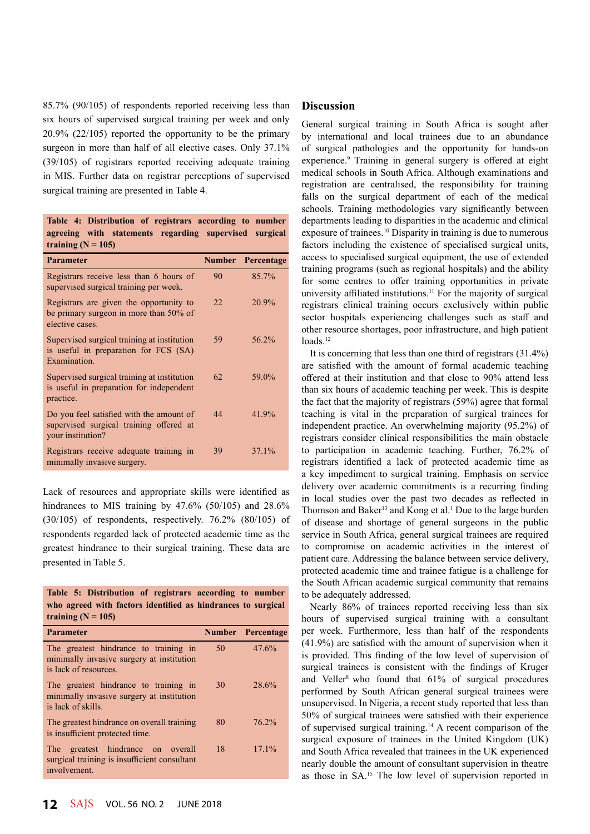85.7% (90/105) of respondents reported receiving less than six hours of supervised surgical training per week and only 20.9% (22/105) reported the opportunity to be the primary surgeon in more than half of all elective cases. Only 37.1% (39/105) of registrars reported receiving adequate training in MIS. Further data on registrar perceptions of supervised surgical training are presented in Table 4.

**Table 4: Distribution of registrars according to number** 

| agreeing with statements regarding supervised surgical<br>training $(N = 105)$                           |    |                          |
|----------------------------------------------------------------------------------------------------------|----|--------------------------|
| <b>Parameter</b>                                                                                         |    | <b>Number Percentage</b> |
| Registrars receive less than 6 hours of<br>supervised surgical training per week.                        | 90 | 85.7%                    |
| Registrars are given the opportunity to<br>be primary surgeon in more than 50% of<br>elective cases.     | 22 | 20.9%                    |
| Supervised surgical training at institution<br>is useful in preparation for FCS (SA)<br>Examination.     | 59 | 56.2%                    |
| Supervised surgical training at institution<br>is useful in preparation for independent<br>practice.     | 62 | 59.0%                    |
| Do you feel satisfied with the amount of<br>supervised surgical training offered at<br>your institution? | 44 | 41.9%                    |
| Registrars receive adequate training in<br>minimally invasive surgery.                                   | 39 | 37.1%                    |

Lack of resources and appropriate skills were identified as hindrances to MIS training by 47.6% (50/105) and 28.6%  $(30/105)$  of respondents, respectively. 76.2%  $(80/105)$  of respondents regarded lack of protected academic time as the greatest hindrance to their surgical training. These data are presented in Table 5.

|                      | Table 5: Distribution of registrars according to number      |  |
|----------------------|--------------------------------------------------------------|--|
|                      | who agreed with factors identified as hindrances to surgical |  |
| training $(N = 105)$ |                                                              |  |

| Parameter                                                                                                   |    | <b>Number</b> Percentage |
|-------------------------------------------------------------------------------------------------------------|----|--------------------------|
| The greatest hindrance to training in<br>minimally invasive surgery at institution<br>is lack of resources. | 50 | 47.6%                    |
| The greatest hindrance to training in<br>minimally invasive surgery at institution<br>is lack of skills.    | 30 | 28.6%                    |
| The greatest hindrance on overall training<br>is insufficient protected time.                               | 80 | 76.2%                    |
| The greatest hindrance on overall<br>surgical training is insufficient consultant<br>involvement.           | 18 | 17.1%                    |

## **Discussion**

General surgical training in South Africa is sought after by international and local trainees due to an abundance of surgical pathologies and the opportunity for hands-on experience.<sup>9</sup> Training in general surgery is offered at eight medical schools in South Africa. Although examinations and registration are centralised, the responsibility for training falls on the surgical department of each of the medical schools. Training methodologies vary significantly between departments leading to disparities in the academic and clinical exposure of trainees.<sup>10</sup> Disparity in training is due to numerous factors including the existence of specialised surgical units, access to specialised surgical equipment, the use of extended training programs (such as regional hospitals) and the ability for some centres to offer training opportunities in private university affiliated institutions.<sup>11</sup> For the majority of surgical registrars clinical training occurs exclusively within public sector hospitals experiencing challenges such as staff and other resource shortages, poor infrastructure, and high patient loads.<sup>12</sup>

It is concerning that less than one third of registrars (31.4%) are satisfied with the amount of formal academic teaching offered at their institution and that close to 90% attend less than six hours of academic teaching per week. This is despite the fact that the majority of registrars (59%) agree that formal teaching is vital in the preparation of surgical trainees for independent practice. An overwhelming majority (95.2%) of registrars consider clinical responsibilities the main obstacle to participation in academic teaching. Further, 76.2% of registrars identified a lack of protected academic time as a key impediment to surgical training. Emphasis on service delivery over academic commitments is a recurring finding in local studies over the past two decades as reflected in Thomson and Baker<sup>13</sup> and Kong et al.<sup>1</sup> Due to the large burden of disease and shortage of general surgeons in the public service in South Africa, general surgical trainees are required to compromise on academic activities in the interest of patient care. Addressing the balance between service delivery, protected academic time and trainee fatigue is a challenge for the South African academic surgical community that remains to be adequately addressed.

Nearly 86% of trainees reported receiving less than six hours of supervised surgical training with a consultant per week. Furthermore, less than half of the respondents (41.9%) are satisfied with the amount of supervision when it is provided. This finding of the low level of supervision of surgical trainees is consistent with the findings of Kruger and Veller<sup>8</sup> who found that  $61\%$  of surgical procedures performed by South African general surgical trainees were unsupervised. In Nigeria, a recent study reported that less than 50% of surgical trainees were satisfied with their experience of supervised surgical training.14 A recent comparison of the surgical exposure of trainees in the United Kingdom (UK) and South Africa revealed that trainees in the UK experienced nearly double the amount of consultant supervision in theatre as those in SA.15 The low level of supervision reported in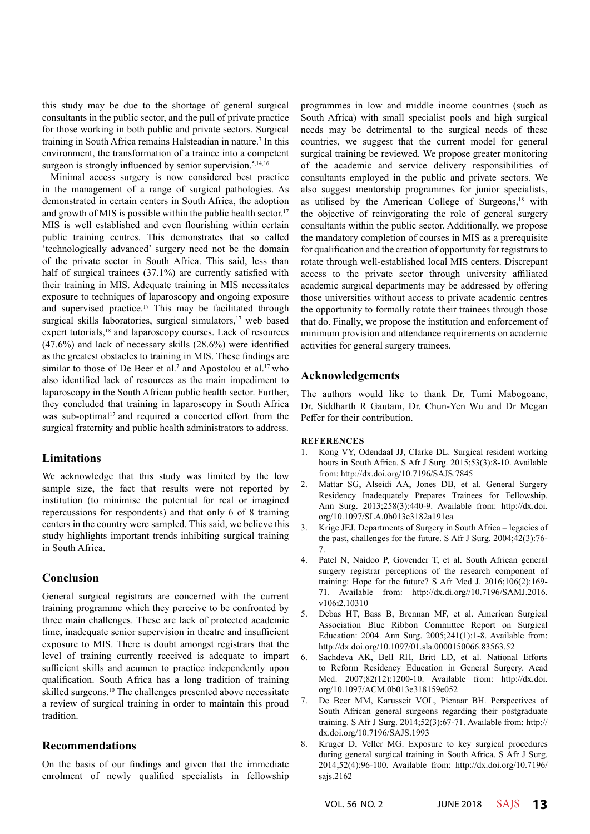this study may be due to the shortage of general surgical consultants in the public sector, and the pull of private practice for those working in both public and private sectors. Surgical training in South Africa remains Halsteadian in nature.<sup>7</sup> In this environment, the transformation of a trainee into a competent surgeon is strongly influenced by senior supervision.<sup>5,14,16</sup>

Minimal access surgery is now considered best practice in the management of a range of surgical pathologies. As demonstrated in certain centers in South Africa, the adoption and growth of MIS is possible within the public health sector.<sup>17</sup> MIS is well established and even flourishing within certain public training centres. This demonstrates that so called 'technologically advanced' surgery need not be the domain of the private sector in South Africa. This said, less than half of surgical trainees (37.1%) are currently satisfied with their training in MIS. Adequate training in MIS necessitates exposure to techniques of laparoscopy and ongoing exposure and supervised practice.<sup>17</sup> This may be facilitated through surgical skills laboratories, surgical simulators,<sup>17</sup> web based expert tutorials,<sup>18</sup> and laparoscopy courses. Lack of resources (47.6%) and lack of necessary skills (28.6%) were identified as the greatest obstacles to training in MIS. These findings are similar to those of De Beer et al.<sup>7</sup> and Apostolou et al.<sup>17</sup> who also identified lack of resources as the main impediment to laparoscopy in the South African public health sector. Further, they concluded that training in laparoscopy in South Africa was sub-optimal<sup>17</sup> and required a concerted effort from the surgical fraternity and public health administrators to address.

## **Limitations**

We acknowledge that this study was limited by the low sample size, the fact that results were not reported by institution (to minimise the potential for real or imagined repercussions for respondents) and that only 6 of 8 training centers in the country were sampled. This said, we believe this study highlights important trends inhibiting surgical training in South Africa.

# **Conclusion**

General surgical registrars are concerned with the current training programme which they perceive to be confronted by three main challenges. These are lack of protected academic time, inadequate senior supervision in theatre and insufficient exposure to MIS. There is doubt amongst registrars that the level of training currently received is adequate to impart sufficient skills and acumen to practice independently upon qualification. South Africa has a long tradition of training skilled surgeons.<sup>10</sup> The challenges presented above necessitate a review of surgical training in order to maintain this proud tradition.

# **Recommendations**

On the basis of our findings and given that the immediate enrolment of newly qualified specialists in fellowship

programmes in low and middle income countries (such as South Africa) with small specialist pools and high surgical needs may be detrimental to the surgical needs of these countries, we suggest that the current model for general surgical training be reviewed. We propose greater monitoring of the academic and service delivery responsibilities of consultants employed in the public and private sectors. We also suggest mentorship programmes for junior specialists, as utilised by the American College of Surgeons,<sup>18</sup> with the objective of reinvigorating the role of general surgery consultants within the public sector. Additionally, we propose the mandatory completion of courses in MIS as a prerequisite for qualification and the creation of opportunity for registrars to rotate through well-established local MIS centers. Discrepant access to the private sector through university affiliated academic surgical departments may be addressed by offering those universities without access to private academic centres the opportunity to formally rotate their trainees through those that do. Finally, we propose the institution and enforcement of minimum provision and attendance requirements on academic activities for general surgery trainees.

# **Acknowledgements**

The authors would like to thank Dr. Tumi Mabogoane, Dr. Siddharth R Gautam, Dr. Chun-Yen Wu and Dr Megan Peffer for their contribution.

## **REFERENCES**

- 1. Kong VY, Odendaal JJ, Clarke DL. Surgical resident working hours in South Africa. S Afr J Surg. 2015;53(3):8-10. Available from: http://dx.doi.org/10.7196/SAJS.7845
- 2. Mattar SG, Alseidi AA, Jones DB, et al. General Surgery Residency Inadequately Prepares Trainees for Fellowship. Ann Surg. 2013;258(3):440-9. Available from: http://dx.doi. org/10.1097/SLA.0b013e3182a191ca
- 3. Krige JEJ. Departments of Surgery in South Africa legacies of the past, challenges for the future. S Afr J Surg. 2004;42(3):76- 7.
- 4. Patel N, Naidoo P, Govender T, et al. South African general surgery registrar perceptions of the research component of training: Hope for the future? S Afr Med J. 2016;106(2):169- 71. Available from: http://dx.di.org//10.7196/SAMJ.2016. v106i2.10310
- 5. Debas HT, Bass B, Brennan MF, et al. American Surgical Association Blue Ribbon Committee Report on Surgical Education: 2004. Ann Surg. 2005;241(1):1-8. Available from: http://dx.doi.org/10.1097/01.sla.0000150066.83563.52
- 6. Sachdeva AK, Bell RH, Britt LD, et al. National Efforts to Reform Residency Education in General Surgery. Acad Med. 2007;82(12):1200-10. Available from: http://dx.doi. org/10.1097/ACM.0b013e318159e052
- 7. De Beer MM, Karusseit VOL, Pienaar BH. Perspectives of South African general surgeons regarding their postgraduate training. S Afr J Surg. 2014;52(3):67-71. Available from: http:// dx.doi.org/10.7196/SAJS.1993
- 8. Kruger D, Veller MG. Exposure to key surgical procedures during general surgical training in South Africa. S Afr J Surg. 2014;52(4):96-100. Available from: http://dx.doi.org/10.7196/ sajs.2162